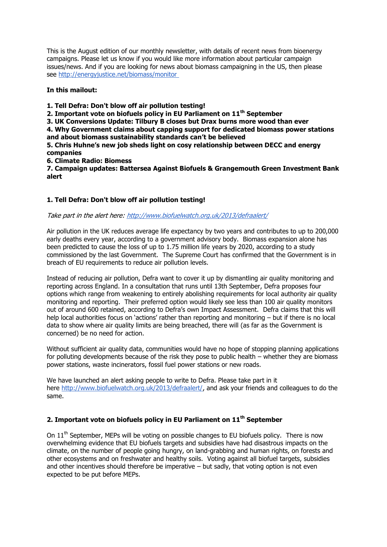This is the August edition of our monthly newsletter, with details of recent news from bioenergy campaigns. Please let us know if you would like more information about particular campaign issues/news. And if you are looking for news about biomass campaigning in the US, then please see <http://energyjustice.net/biomass/monitor>

### **In this mailout:**

**1. Tell Defra: Don't blow off air pollution testing!**

**2. Important vote on biofuels policy in EU Parliament on 11th September**

**3. UK Conversions Update: Tilbury B closes but Drax burns more wood than ever**

**4. Why Government claims about capping support for dedicated biomass power stations and about biomass sustainability standards can't be believed**

**5. Chris Huhne's new job sheds light on cosy relationship between DECC and energy companies**

**6. Climate Radio: Biomess**

**7. Campaign updates: Battersea Against Biofuels & Grangemouth Green Investment Bank alert**

# **1. Tell Defra: Don't blow off air pollution testing!**

### Take part in the alert here: <http://www.biofuelwatch.org.uk/2013/defraalert/>

Air pollution in the UK reduces average life expectancy by two years and contributes to up to 200,000 early deaths every year, according to a government advisory body. Biomass expansion alone has been predicted to cause the loss of up to 1.75 million life years by 2020, according to a study commissioned by the last Government. The Supreme Court has confirmed that the Government is in breach of EU requirements to reduce air pollution levels.

Instead of reducing air pollution, Defra want to cover it up by dismantling air quality monitoring and reporting across England. In a consultation that runs until 13th September, Defra proposes four options which range from weakening to entirely abolishing requirements for local authority air quality monitoring and reporting. Their preferred option would likely see less than 100 air quality monitors out of around 600 retained, according to Defra's own Impact Assessment. Defra claims that this will help local authorities focus on 'actions' rather than reporting and monitoring – but if there is no local data to show where air quality limits are being breached, there will (as far as the Government is concerned) be no need for action.

Without sufficient air quality data, communities would have no hope of stopping planning applications for polluting developments because of the risk they pose to public health – whether they are biomass power stations, waste incinerators, fossil fuel power stations or new roads.

We have launched an alert asking people to write to Defra. Please take part in it here [http://www.biofuelwatch.org.uk/2013/defraalert/,](http://www.biofuelwatch.org.uk/2013/defraalert/) and ask your friends and colleagues to do the same.

# **2. Important vote on biofuels policy in EU Parliament on 11th September**

On  $11<sup>th</sup>$  September, MEPs will be voting on possible changes to EU biofuels policy. There is now overwhelming evidence that EU biofuels targets and subsidies have had disastrous impacts on the climate, on the number of people going hungry, on land-grabbing and human rights, on forests and other ecosystems and on freshwater and healthy soils. Voting against all biofuel targets, subsidies and other incentives should therefore be imperative – but sadly, that voting option is not even expected to be put before MEPs.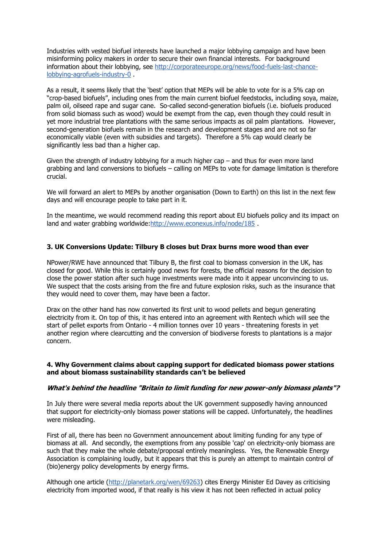Industries with vested biofuel interests have launched a major lobbying campaign and have been misinforming policy makers in order to secure their own financial interests. For background information about their lobbying, see [http://corporateeurope.org/news/food-fuels-last-chance](http://corporateeurope.org/news/food-fuels-last-chance-lobbying-agrofuels-industry-0)[lobbying-agrofuels-industry-0](http://corporateeurope.org/news/food-fuels-last-chance-lobbying-agrofuels-industry-0) .

As a result, it seems likely that the 'best' option that MEPs will be able to vote for is a 5% cap on "crop-based biofuels", including ones from the main current biofuel feedstocks, including soya, maize, palm oil, oilseed rape and sugar cane. So-called second-generation biofuels (i.e. biofuels produced from solid biomass such as wood) would be exempt from the cap, even though they could result in yet more industrial tree plantations with the same serious impacts as oil palm plantations. However, second-generation biofuels remain in the research and development stages and are not so far economically viable (even with subsidies and targets). Therefore a 5% cap would clearly be significantly less bad than a higher cap.

Given the strength of industry lobbying for a much higher cap – and thus for even more land grabbing and land conversions to biofuels – calling on MEPs to vote for damage limitation is therefore crucial.

We will forward an alert to MEPs by another organisation (Down to Earth) on this list in the next few days and will encourage people to take part in it.

In the meantime, we would recommend reading this report about EU biofuels policy and its impact on land and water grabbing worldwide: http://www.econexus.info/node/185.

### **3. UK Conversions Update: Tilbury B closes but Drax burns more wood than ever**

NPower/RWE have announced that Tilbury B, the first coal to biomass conversion in the UK, has closed for good. While this is certainly good news for forests, the official reasons for the decision to close the power station after such huge investments were made into it appear unconvincing to us. We suspect that the costs arising from the fire and future explosion risks, such as the insurance that they would need to cover them, may have been a factor.

Drax on the other hand has now converted its first unit to wood pellets and begun generating electricity from it. On top of this, it has entered into an agreement with Rentech which will see the start of pellet exports from Ontario - 4 million tonnes over 10 years - threatening forests in yet another region where clearcutting and the conversion of biodiverse forests to plantations is a major concern.

### **4. Why Government claims about capping support for dedicated biomass power stations and about biomass sustainability standards can't be believed**

### **What's behind the headline "Britain to limit funding for new power-only biomass plants"?**

In July there were several media reports about the UK government supposedly having announced that support for electricity-only biomass power stations will be capped. Unfortunately, the headlines were misleading.

First of all, there has been no Government announcement about limiting funding for any type of biomass at all. And secondly, the exemptions from any possible 'cap' on electricity-only biomass are such that they make the whole debate/proposal entirely meaningless. Yes, the Renewable Energy Association is complaining loudly, but it appears that this is purely an attempt to maintain control of (bio)energy policy developments by energy firms.

Although one article [\(http://planetark.org/wen/69263\)](http://planetark.org/wen/69263) cites Energy Minister Ed Davey as criticising electricity from imported wood, if that really is his view it has not been reflected in actual policy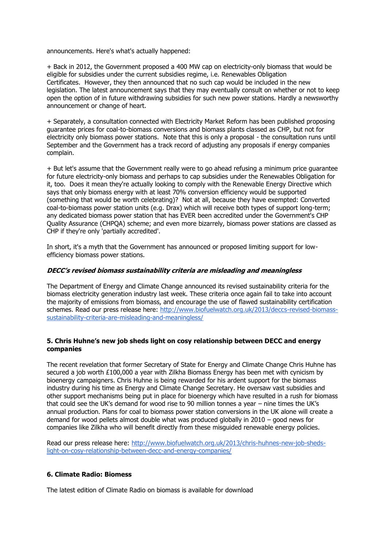announcements. Here's what's actually happened:

+ Back in 2012, the Government proposed a 400 MW cap on electricity-only biomass that would be eligible for subsidies under the current subsidies regime, i.e. Renewables Obligation Certificates. However, they then announced that no such cap would be included in the new legislation. The latest announcement says that they may eventually consult on whether or not to keep open the option of in future withdrawing subsidies for such new power stations. Hardly a newsworthy announcement or change of heart.

+ Separately, a consultation connected with Electricity Market Reform has been published proposing guarantee prices for coal-to-biomass conversions and biomass plants classed as CHP, but not for electricity only biomass power stations. Note that this is only a proposal - the consultation runs until September and the Government has a track record of adjusting any proposals if energy companies complain.

+ But let's assume that the Government really were to go ahead refusing a minimum price guarantee for future electricity-only biomass and perhaps to cap subsidies under the Renewables Obligation for it, too. Does it mean they're actually looking to comply with the Renewable Energy Directive which says that only biomass energy with at least 70% conversion efficiency would be supported (something that would be worth celebrating)? Not at all, because they have exempted: Converted coal-to-biomass power station units (e.g. Drax) which will receive both types of support long-term; any dedicated biomass power station that has EVER been accredited under the Government's CHP Quality Assurance (CHPQA) scheme; and even more bizarrely, biomass power stations are classed as CHP if they're only 'partially accredited'.

In short, it's a myth that the Government has announced or proposed limiting support for lowefficiency biomass power stations.

#### **DECC's revised biomass sustainability criteria are misleading and meaningless**

The Department of Energy and Climate Change announced its revised sustainability criteria for the biomass electricity generation industry last week. These criteria once again fail to take into account the majority of emissions from biomass, and encourage the use of flawed sustainability certification schemes. Read our press release here: [http://www.biofuelwatch.org.uk/2013/deccs-revised-biomass](http://www.biofuelwatch.org.uk/2013/deccs-revised-biomass-sustainability-criteria-are-misleading-and-meaningless/)[sustainability-criteria-are-misleading-and-meaningless/](http://www.biofuelwatch.org.uk/2013/deccs-revised-biomass-sustainability-criteria-are-misleading-and-meaningless/)

### **5. Chris Huhne's new job sheds light on cosy relationship between DECC and energy companies**

The recent revelation that former Secretary of State for Energy and Climate Change Chris Huhne has secured a job worth £100,000 a year with Zilkha Biomass Energy has been met with cynicism by bioenergy campaigners. Chris Huhne is being rewarded for his ardent support for the biomass industry during his time as Energy and Climate Change Secretary. He oversaw vast subsidies and other support mechanisms being put in place for bioenergy which have resulted in a rush for biomass that could see the UK's demand for wood rise to 90 million tonnes a year – nine times the UK's annual production. Plans for coal to biomass power station conversions in the UK alone will create a demand for wood pellets almost double what was produced globally in 2010 – good news for companies like Zilkha who will benefit directly from these misguided renewable energy policies.

Read our press release here: [http://www.biofuelwatch.org.uk/2013/chris-huhnes-new-job-sheds](http://www.biofuelwatch.org.uk/2013/chris-huhnes-new-job-sheds-light-on-cosy-relationship-between-decc-and-energy-companies/)[light-on-cosy-relationship-between-decc-and-energy-companies/](http://www.biofuelwatch.org.uk/2013/chris-huhnes-new-job-sheds-light-on-cosy-relationship-between-decc-and-energy-companies/)

### **6. Climate Radio: Biomess**

The latest edition of Climate Radio on biomass is available for download